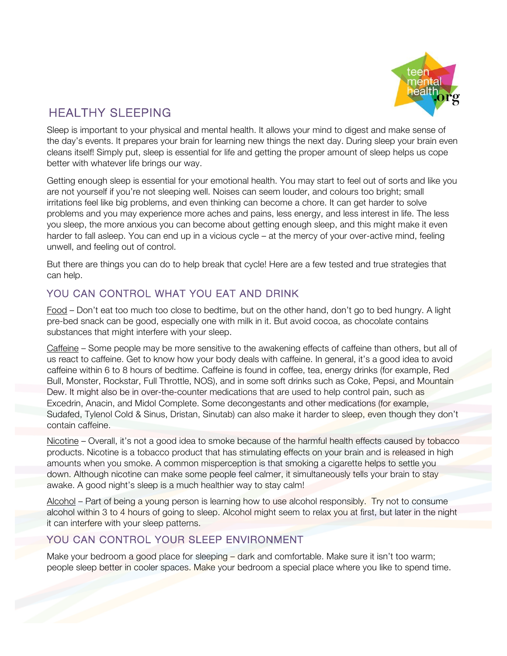

# HEALTHY SLEEPING

Sleep is important to your physical and mental health. It allows your mind to digest and make sense of the day's events. It prepares your brain for learning new things the next day. During sleep your brain even cleans itself! Simply put, sleep is essential for life and getting the proper amount of sleep helps us cope better with whatever life brings our way.

Getting enough sleep is essential for your emotional health. You may start to feel out of sorts and like you are not yourself if you're not sleeping well. Noises can seem louder, and colours too bright; small irritations feel like big problems, and even thinking can become a chore. It can get harder to solve problems and you may experience more aches and pains, less energy, and less interest in life. The less you sleep, the more anxious you can become about getting enough sleep, and this might make it even harder to fall asleep. You can end up in a vicious cycle – at the mercy of your over-active mind, feeling unwell, and feeling out of control.

But there are things you can do to help break that cycle! Here are a few tested and true strategies that can help.

# YOU CAN CONTROL WHAT YOU EAT AND DRINK

Food – Don't eat too much too close to bedtime, but on the other hand, don't go to bed hungry. A light pre-bed snack can be good, especially one with milk in it. But avoid cocoa, as chocolate contains substances that might interfere with your sleep.

Caffeine – Some people may be more sensitive to the awakening effects of caffeine than others, but all of us react to caffeine. Get to know how your body deals with caffeine. In general, it's a good idea to avoid caffeine within 6 to 8 hours of bedtime. Caffeine is found in coffee, tea, energy drinks (for example, Red Bull, Monster, Rockstar, Full Throttle, NOS), and in some soft drinks such as Coke, Pepsi, and Mountain Dew. It might also be in over-the-counter medications that are used to help control pain, such as Excedrin, Anacin, and Midol Complete. Some decongestants and other medications (for example, Sudafed, Tylenol Cold & Sinus, Dristan, Sinutab) can also make it harder to sleep, even though they don't contain caffeine.

Nicotine – Overall, it's not a good idea to smoke because of the harmful health effects caused by tobacco products. Nicotine is a tobacco product that has stimulating effects on your brain and is released in high amounts when you smoke. A common misperception is that smoking a cigarette helps to settle you down. Although nicotine can make some people feel calmer, it simultaneously tells your brain to stay awake. A good night's sleep is a much healthier way to stay calm!

Alcohol – Part of being a young person is learning how to use alcohol responsibly. Try not to consume alcohol within 3 to 4 hours of going to sleep. Alcohol might seem to relax you at first, but later in the night it can interfere with your sleep patterns.

# YOU CAN CONTROL YOUR SLEEP ENVIRONMENT

Make your bedroom a good place for sleeping – dark and comfortable. Make sure it isn't too warm; people sleep better in cooler spaces. Make your bedroom a special place where you like to spend time.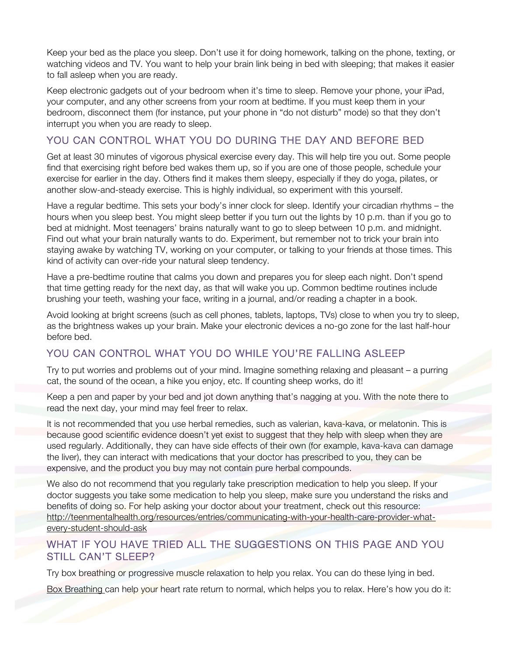Keep your bed as the place you sleep. Don't use it for doing homework, talking on the phone, texting, or watching videos and TV. You want to help your brain link being in bed with sleeping; that makes it easier to fall asleep when you are ready.

Keep electronic gadgets out of your bedroom when it's time to sleep. Remove your phone, your iPad, your computer, and any other screens from your room at bedtime. If you must keep them in your bedroom, disconnect them (for instance, put your phone in "do not disturb" mode) so that they don't interrupt you when you are ready to sleep.

## YOU CAN CONTROL WHAT YOU DO DURING THE DAY AND BEFORE BED

Get at least 30 minutes of vigorous physical exercise every day. This will help tire you out. Some people find that exercising right before bed wakes them up, so if you are one of those people, schedule your exercise for earlier in the day. Others find it makes them sleepy, especially if they do yoga, pilates, or another slow-and-steady exercise. This is highly individual, so experiment with this yourself.

Have a regular bedtime. This sets your body's inner clock for sleep. Identify your circadian rhythms – the hours when you sleep best. You might sleep better if you turn out the lights by 10 p.m. than if you go to bed at midnight. Most teenagers' brains naturally want to go to sleep between 10 p.m. and midnight. Find out what your brain naturally wants to do. Experiment, but remember not to trick your brain into staying awake by watching TV, working on your computer, or talking to your friends at those times. This kind of activity can over-ride your natural sleep tendency.

Have a pre-bedtime routine that calms you down and prepares you for sleep each night. Don't spend that time getting ready for the next day, as that will wake you up. Common bedtime routines include brushing your teeth, washing your face, writing in a journal, and/or reading a chapter in a book.

Avoid looking at bright screens (such as cell phones, tablets, laptops, TVs) close to when you try to sleep, as the brightness wakes up your brain. Make your electronic devices a no-go zone for the last half-hour before bed.

### YOU CAN CONTROL WHAT YOU DO WHILE YOU'RE FALLING ASLEEP

Try to put worries and problems out of your mind. Imagine something relaxing and pleasant – a purring cat, the sound of the ocean, a hike you enjoy, etc. If counting sheep works, do it!

Keep a pen and paper by your bed and jot down anything that's nagging at you. With the note there to read the next day, your mind may feel freer to relax.

It is not recommended that you use herbal remedies, such as valerian, kava-kava, or melatonin. This is because good scientific evidence doesn't yet exist to suggest that they help with sleep when they are used regularly. Additionally, they can have side effects of their own (for example, kava-kava can damage the liver), they can interact with medications that your doctor has prescribed to you, they can be expensive, and the product you buy may not contain pure herbal compounds.

We also do not recommend that you regularly take prescription medication to help you sleep. If your doctor suggests you take some medication to help you sleep, make sure you understand the risks and benefits of doing so. For help asking your doctor about your treatment, check out this resource: http://teenmentalhealth.org/resources/entries/communicating-with-your-health-care-provider-whatevery-student-should-ask

### WHAT IF YOU HAVE TRIED ALL THE SUGGESTIONS ON THIS PAGE AND YOU STILL CAN'T SLEEP?

Try box breathing or progressive muscle relaxation to help you relax. You can do these lying in bed.

Box Breathing can help your heart rate return to normal, which helps you to relax. Here's how you do it: